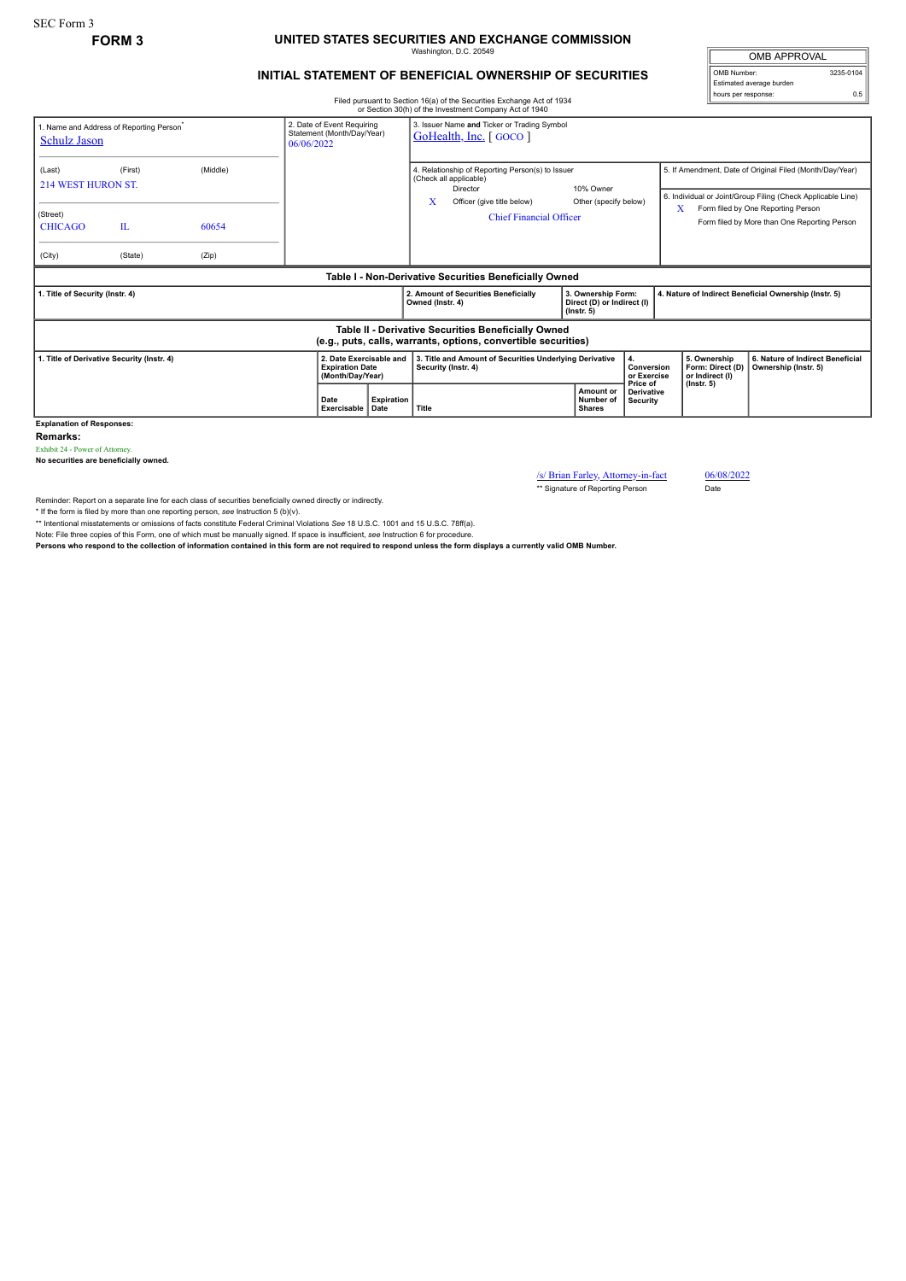## **FORM 3 UNITED STATES SECURITIES AND EXCHANGE COMMISSION** Washington, D.C. 20549

## **INITIAL STATEMENT OF BENEFICIAL OWNERSHIP OF SECURITIES**

Filed pursuant to Section 16(a) of the Securities Exchange Act of 1934 or Section 30(h) of the Investment Company Act of 1940

| <b>OMB APPROVAL</b>      |           |  |  |  |  |  |
|--------------------------|-----------|--|--|--|--|--|
| OMB Number:              | 3235-0104 |  |  |  |  |  |
| Estimated average burden |           |  |  |  |  |  |
| hours per response:      | 0.5       |  |  |  |  |  |

| 1. Name and Address of Reporting Person <sup>*</sup><br><b>Schulz Jason</b>                                           |         |                                                                       | 2. Date of Event Requiring<br>Statement (Month/Day/Year)<br>06/06/2022 | 3. Issuer Name and Ticker or Trading Symbol<br>GoHealth, Inc. [GOCO]           |                                                                                                                                                                 |                               |                                                                         |                                                                                                                         |  |  |
|-----------------------------------------------------------------------------------------------------------------------|---------|-----------------------------------------------------------------------|------------------------------------------------------------------------|--------------------------------------------------------------------------------|-----------------------------------------------------------------------------------------------------------------------------------------------------------------|-------------------------------|-------------------------------------------------------------------------|-------------------------------------------------------------------------------------------------------------------------|--|--|
| (Last)<br><b>214 WEST HURON ST.</b>                                                                                   | (First) | (Middle)                                                              |                                                                        |                                                                                | 4. Relationship of Reporting Person(s) to Issuer<br>(Check all applicable)<br>10% Owner<br>Director<br>x<br>Officer (give title below)<br>Other (specify below) |                               |                                                                         | 5. If Amendment, Date of Original Filed (Month/Day/Year)<br>6. Individual or Joint/Group Filing (Check Applicable Line) |  |  |
| (Street)<br><b>CHICAGO</b>                                                                                            | IL      | 60654                                                                 |                                                                        |                                                                                | <b>Chief Financial Officer</b>                                                                                                                                  |                               |                                                                         | Form filed by One Reporting Person<br>X.<br>Form filed by More than One Reporting Person                                |  |  |
| (City)                                                                                                                | (State) | (Zip)                                                                 |                                                                        |                                                                                |                                                                                                                                                                 |                               |                                                                         |                                                                                                                         |  |  |
| Table I - Non-Derivative Securities Beneficially Owned                                                                |         |                                                                       |                                                                        |                                                                                |                                                                                                                                                                 |                               |                                                                         |                                                                                                                         |  |  |
| 1. Title of Security (Instr. 4)                                                                                       |         |                                                                       |                                                                        | 2. Amount of Securities Beneficially<br>Owned (Instr. 4)                       | 3. Ownership Form:<br>Direct (D) or Indirect (I)<br>$($ lnstr. 5 $)$                                                                                            |                               | 4. Nature of Indirect Beneficial Ownership (Instr. 5)                   |                                                                                                                         |  |  |
| Table II - Derivative Securities Beneficially Owned<br>(e.g., puts, calls, warrants, options, convertible securities) |         |                                                                       |                                                                        |                                                                                |                                                                                                                                                                 |                               |                                                                         |                                                                                                                         |  |  |
| 1. Title of Derivative Security (Instr. 4)                                                                            |         | 2. Date Exercisable and<br><b>Expiration Date</b><br>(Month/Day/Year) |                                                                        | 3. Title and Amount of Securities Underlying Derivative<br>Security (Instr. 4) | 4.<br>Conversion<br>or Exercise<br>Price of                                                                                                                     |                               | 5. Ownership<br>Form: Direct (D)<br>or Indirect (I)<br>$($ lnstr. 5 $)$ | 6. Nature of Indirect Beneficial<br>Ownership (Instr. 5)                                                                |  |  |
|                                                                                                                       |         | Date<br>Exercisable                                                   | <b>Expiration</b><br>Date                                              | Title                                                                          | Amount or<br>Number of<br><b>Shares</b>                                                                                                                         | <b>Derivative</b><br>Security |                                                                         |                                                                                                                         |  |  |

**Explanation of Responses:**

**Remarks:**

Exhibit 24 - Power of Attorney. **No securities are beneficially owned.**

/s/ Brian Farley, Attorney-in-fact 06/08/2022<br>
\*\* Signature of Reporting Person Date

\*\* Signature of Reporting Person

Reminder: Report on a separate line for each class of securities beneficially owned directly or indirectly.

\* If the form is filed by more than one reporting person, *see* Instruction 5 (b)(v).

\*\* Intentional misstatements or omissions of facts constitute Federal Criminal Violations *See* 18 U.S.C. 1001 and 15 U.S.C. 78ff(a).

Note: File three copies of this Form, one of which must be manually signed. If space is insufficient, *see* Instruction 6 for procedure.

**Persons who respond to the collection of information contained in this form are not required to respond unless the form displays a currently valid OMB Number.**